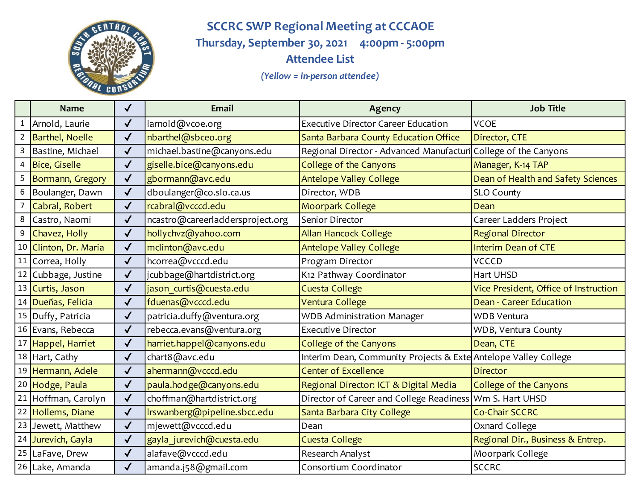

**SCCRC SWP Regional Meeting at CCCAOE Thursday, September 30, 2021 4:00pm - 5:00pm Attendee List** 

*(Yellow = in-person attendee)*

|              | <b>Name</b>            | $\checkmark$ | <b>Email</b>                     | Agency                                                          | <b>Job Title</b>                      |
|--------------|------------------------|--------------|----------------------------------|-----------------------------------------------------------------|---------------------------------------|
| $\mathbf{1}$ | Arnold, Laurie         | $\checkmark$ | larnold@vcoe.org                 | <b>Executive Director Career Education</b>                      | <b>VCOE</b>                           |
|              | <b>Barthel, Noelle</b> | $\checkmark$ | nbarthel@sbceo.org               | Santa Barbara County Education Office                           | Director, CTE                         |
| 3            | Bastine, Michael       | $\checkmark$ | michael.bastine@canyons.edu      | Regional Director - Advanced Manufacturi                        | College of the Canyons                |
|              | <b>Bice, Giselle</b>   | $\checkmark$ | giselle.bice@canyons.edu         | College of the Canyons                                          | Manager, K-14 TAP                     |
| 5            | Bormann, Gregory       | $\checkmark$ | gbormann@avc.edu                 | <b>Antelope Valley College</b>                                  | Dean of Health and Safety Sciences    |
| 6            | Boulanger, Dawn        | $\checkmark$ | dboulanger@co.slo.ca.us          | Director, WDB                                                   | <b>SLO County</b>                     |
|              | Cabral, Robert         | $\checkmark$ | rcabral@vcccd.edu                | Moorpark College                                                | Dean                                  |
| 8            | Castro, Naomi          | $\checkmark$ | ncastro@careerladdersproject.org | Senior Director                                                 | Career Ladders Project                |
| 9            | Chavez, Holly          | $\checkmark$ | hollychvz@yahoo.com              | <b>Allan Hancock College</b>                                    | <b>Regional Director</b>              |
|              | 10 Clinton, Dr. Maria  | $\checkmark$ | mclinton@avc.edu                 | <b>Antelope Valley College</b>                                  | <b>Interim Dean of CTE</b>            |
|              | 11 Correa, Holly       | $\checkmark$ | hcorrea@vcccd.edu                | Program Director                                                | <b>VCCCD</b>                          |
|              | 12 Cubbage, Justine    | $\checkmark$ | jcubbage@hartdistrict.org        | K12 Pathway Coordinator                                         | <b>Hart UHSD</b>                      |
|              | 13 Curtis, Jason       | $\checkmark$ | jason curtis@cuesta.edu          | <b>Cuesta College</b>                                           | Vice President, Office of Instruction |
|              | 14 Dueñas, Felicia     | $\checkmark$ | fduenas@vcccd.edu                | Ventura College                                                 | <b>Dean - Career Education</b>        |
|              | 15 Duffy, Patricia     | $\checkmark$ | patricia.duffy@ventura.org       | <b>WDB Administration Manager</b>                               | <b>WDB Ventura</b>                    |
|              | 16 Evans, Rebecca      | $\checkmark$ | rebecca.evans@ventura.org        | <b>Executive Director</b>                                       | WDB, Ventura County                   |
|              | 17 Happel, Harriet     | $\checkmark$ | harriet.happel@canyons.edu       | College of the Canyons                                          | Dean, CTE                             |
|              | 18 Hart, Cathy         | $\checkmark$ | chart8@avc.edu                   | Interim Dean, Community Projects & Exte Antelope Valley College |                                       |
|              | 19 Hermann, Adele      | $\checkmark$ | ahermann@vcccd.edu               | <b>Center of Excellence</b>                                     | <b>Director</b>                       |
|              | 20 Hodge, Paula        | $\checkmark$ | paula.hodge@canyons.edu          | Regional Director: ICT & Digital Media                          | College of the Canyons                |
|              | 21 Hoffman, Carolyn    | $\checkmark$ | choffman@hartdistrict.org        | Director of Career and College Readiness   Wm S. Hart UHSD      |                                       |
|              | 22 Hollems, Diane      | $\checkmark$ | Irswanberg@pipeline.sbcc.edu     | Santa Barbara City College                                      | <b>Co-Chair SCCRC</b>                 |
|              | 23 Jewett, Matthew     | $\checkmark$ | mjewett@vcccd.edu                | Dean                                                            | Oxnard College                        |
|              | 24 Jurevich, Gayla     | $\checkmark$ | gayla_jurevich@cuesta.edu        | <b>Cuesta College</b>                                           | Regional Dir., Business & Entrep.     |
|              | 25 LaFave, Drew        | $\checkmark$ | alafave@vcccd.edu                | Research Analyst                                                | Moorpark College                      |
|              | 26 Lake, Amanda        | $\checkmark$ | amanda.j58@gmail.com             | Consortium Coordinator                                          | <b>SCCRC</b>                          |